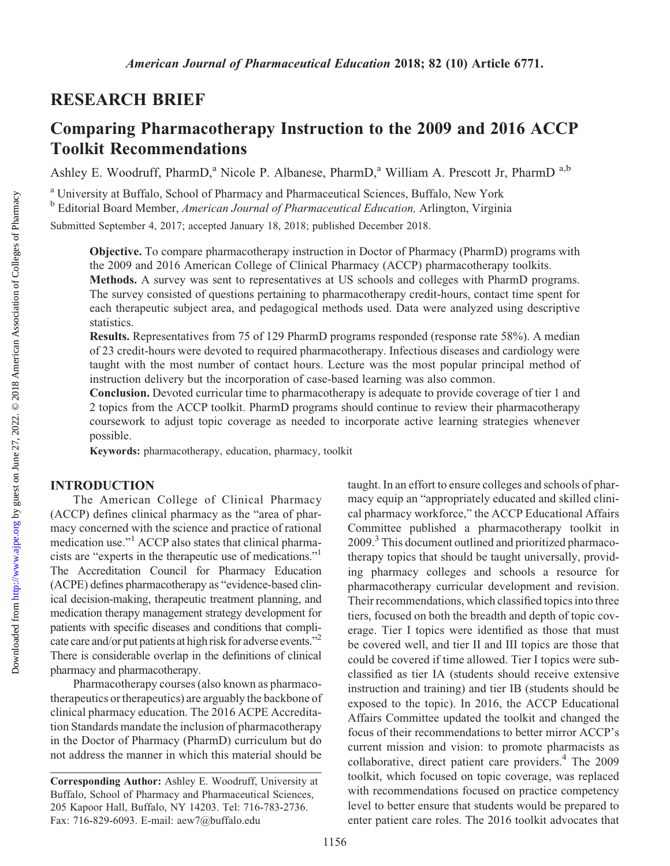## RESEARCH BRIEF

# Comparing Pharmacotherapy Instruction to the 2009 and 2016 ACCP Toolkit Recommendations

Ashley E. Woodruff, PharmD,<sup>a</sup> Nicole P. Albanese, PharmD,<sup>a</sup> William A. Prescott Jr, PharmD<sup>a,b</sup>

<sup>a</sup> University at Buffalo, School of Pharmacy and Pharmaceutical Sciences, Buffalo, New York <sup>b</sup> Editorial Board Member, *American Journal of Pharmaceutical Education*, Arlington, Virginia

Submitted September 4, 2017; accepted January 18, 2018; published December 2018.

Objective. To compare pharmacotherapy instruction in Doctor of Pharmacy (PharmD) programs with the 2009 and 2016 American College of Clinical Pharmacy (ACCP) pharmacotherapy toolkits.

Methods. A survey was sent to representatives at US schools and colleges with PharmD programs. The survey consisted of questions pertaining to pharmacotherapy credit-hours, contact time spent for each therapeutic subject area, and pedagogical methods used. Data were analyzed using descriptive statistics.

Results. Representatives from 75 of 129 PharmD programs responded (response rate 58%). A median of 23 credit-hours were devoted to required pharmacotherapy. Infectious diseases and cardiology were taught with the most number of contact hours. Lecture was the most popular principal method of instruction delivery but the incorporation of case-based learning was also common.

Conclusion. Devoted curricular time to pharmacotherapy is adequate to provide coverage of tier 1 and 2 topics from the ACCP toolkit. PharmD programs should continue to review their pharmacotherapy coursework to adjust topic coverage as needed to incorporate active learning strategies whenever possible.

Keywords: pharmacotherapy, education, pharmacy, toolkit

#### INTRODUCTION

The American College of Clinical Pharmacy (ACCP) defines clinical pharmacy as the "area of pharmacy concerned with the science and practice of rational medication use."1 ACCP also states that clinical pharmacists are "experts in the therapeutic use of medications."1 The Accreditation Council for Pharmacy Education (ACPE) defines pharmacotherapy as "evidence-based clinical decision-making, therapeutic treatment planning, and medication therapy management strategy development for patients with specific diseases and conditions that complicate care and/or put patients at high risk for adverse events."2 There is considerable overlap in the definitions of clinical pharmacy and pharmacotherapy.

Pharmacotherapy courses (also known as pharmacotherapeutics or therapeutics) are arguably the backbone of clinical pharmacy education. The 2016 ACPE Accreditation Standards mandate the inclusion of pharmacotherapy in the Doctor of Pharmacy (PharmD) curriculum but do not address the manner in which this material should be

taught. In an effort to ensure colleges and schools of pharmacy equip an "appropriately educated and skilled clinical pharmacy workforce," the ACCP Educational Affairs Committee published a pharmacotherapy toolkit in 2009.<sup>3</sup> This document outlined and prioritized pharmacotherapy topics that should be taught universally, providing pharmacy colleges and schools a resource for pharmacotherapy curricular development and revision. Their recommendations, which classified topics into three tiers, focused on both the breadth and depth of topic coverage. Tier I topics were identified as those that must be covered well, and tier II and III topics are those that could be covered if time allowed. Tier I topics were subclassified as tier IA (students should receive extensive instruction and training) and tier IB (students should be exposed to the topic). In 2016, the ACCP Educational Affairs Committee updated the toolkit and changed the focus of their recommendations to better mirror ACCP's current mission and vision: to promote pharmacists as collaborative, direct patient care providers.<sup>4</sup> The 2009 toolkit, which focused on topic coverage, was replaced with recommendations focused on practice competency level to better ensure that students would be prepared to enter patient care roles. The 2016 toolkit advocates that

Corresponding Author: Ashley E. Woodruff, University at Buffalo, School of Pharmacy and Pharmaceutical Sciences, 205 Kapoor Hall, Buffalo, NY 14203. Tel: 716-783-2736. Fax: 716-829-6093. E-mail: [aew7@buffalo.edu](mailto:aew7@buffalo.edu)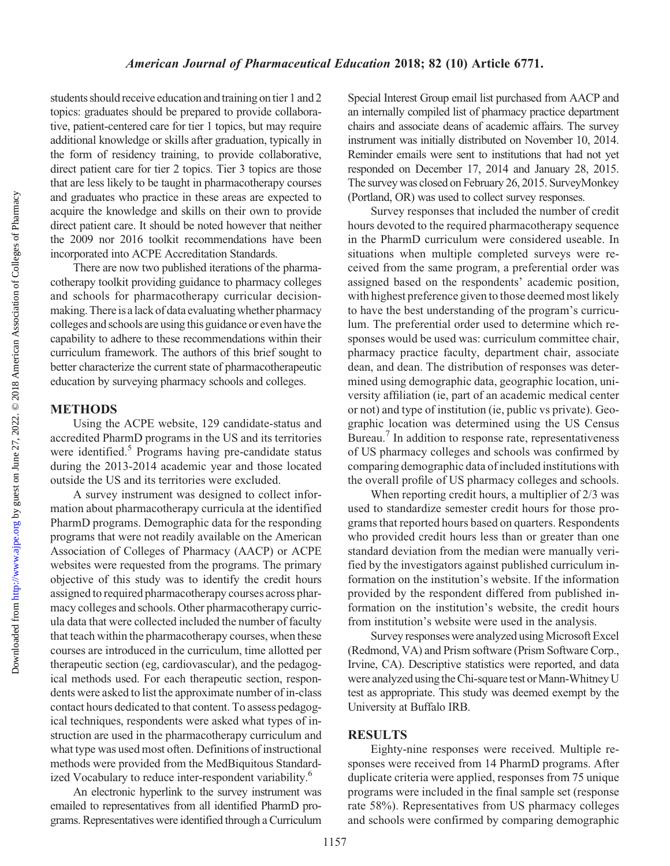students should receive education and training on tier 1 and 2 topics: graduates should be prepared to provide collaborative, patient-centered care for tier 1 topics, but may require additional knowledge or skills after graduation, typically in the form of residency training, to provide collaborative, direct patient care for tier 2 topics. Tier 3 topics are those that are less likely to be taught in pharmacotherapy courses and graduates who practice in these areas are expected to acquire the knowledge and skills on their own to provide direct patient care. It should be noted however that neither the 2009 nor 2016 toolkit recommendations have been incorporated into ACPE Accreditation Standards.

There are now two published iterations of the pharmacotherapy toolkit providing guidance to pharmacy colleges and schools for pharmacotherapy curricular decisionmaking. There is a lack of data evaluating whether pharmacy colleges and schools are using this guidance or even havethe capability to adhere to these recommendations within their curriculum framework. The authors of this brief sought to better characterize the current state of pharmacotherapeutic education by surveying pharmacy schools and colleges.

## METHODS

<http://www.ajpe.org>

Downloaded from

Using the ACPE website, 129 candidate-status and accredited PharmD programs in the US and its territories were identified.<sup>5</sup> Programs having pre-candidate status during the 2013-2014 academic year and those located outside the US and its territories were excluded.

A survey instrument was designed to collect information about pharmacotherapy curricula at the identified PharmD programs. Demographic data for the responding programs that were not readily available on the American Association of Colleges of Pharmacy (AACP) or ACPE websites were requested from the programs. The primary objective of this study was to identify the credit hours assigned to required pharmacotherapy courses across pharmacy colleges and schools. Other pharmacotherapy curricula data that were collected included the number of faculty that teach within the pharmacotherapy courses, when these courses are introduced in the curriculum, time allotted per therapeutic section (eg, cardiovascular), and the pedagogical methods used. For each therapeutic section, respondents were asked to list the approximate number of in-class contact hours dedicated to that content. To assess pedagogical techniques, respondents were asked what types of instruction are used in the pharmacotherapy curriculum and what type was used most often. Definitions of instructional methods were provided from the MedBiquitous Standardized Vocabulary to reduce inter-respondent variability.<sup>6</sup>

An electronic hyperlink to the survey instrument was emailed to representatives from all identified PharmD programs. Representatives were identified through a Curriculum Special Interest Group email list purchased from AACP and an internally compiled list of pharmacy practice department chairs and associate deans of academic affairs. The survey instrument was initially distributed on November 10, 2014. Reminder emails were sent to institutions that had not yet responded on December 17, 2014 and January 28, 2015. The survey was closed on February 26, 2015. SurveyMonkey (Portland, OR) was used to collect survey responses.

Survey responses that included the number of credit hours devoted to the required pharmacotherapy sequence in the PharmD curriculum were considered useable. In situations when multiple completed surveys were received from the same program, a preferential order was assigned based on the respondents' academic position, with highest preference given to those deemed most likely to have the best understanding of the program's curriculum. The preferential order used to determine which responses would be used was: curriculum committee chair, pharmacy practice faculty, department chair, associate dean, and dean. The distribution of responses was determined using demographic data, geographic location, university affiliation (ie, part of an academic medical center or not) and type of institution (ie, public vs private). Geographic location was determined using the US Census Bureau.<sup>7</sup> In addition to response rate, representativeness of US pharmacy colleges and schools was confirmed by comparing demographic data of included institutions with the overall profile of US pharmacy colleges and schools.

When reporting credit hours, a multiplier of 2/3 was used to standardize semester credit hours for those programs that reported hours based on quarters. Respondents who provided credit hours less than or greater than one standard deviation from the median were manually verified by the investigators against published curriculum information on the institution's website. If the information provided by the respondent differed from published information on the institution's website, the credit hours from institution's website were used in the analysis.

Survey responses were analyzed usingMicrosoft Excel (Redmond, VA) and Prism software (Prism Software Corp., Irvine, CA). Descriptive statistics were reported, and data were analyzed using the Chi-square test or Mann-Whitney U test as appropriate. This study was deemed exempt by the University at Buffalo IRB.

## **RESULTS**

Eighty-nine responses were received. Multiple responses were received from 14 PharmD programs. After duplicate criteria were applied, responses from 75 unique programs were included in the final sample set (response rate 58%). Representatives from US pharmacy colleges and schools were confirmed by comparing demographic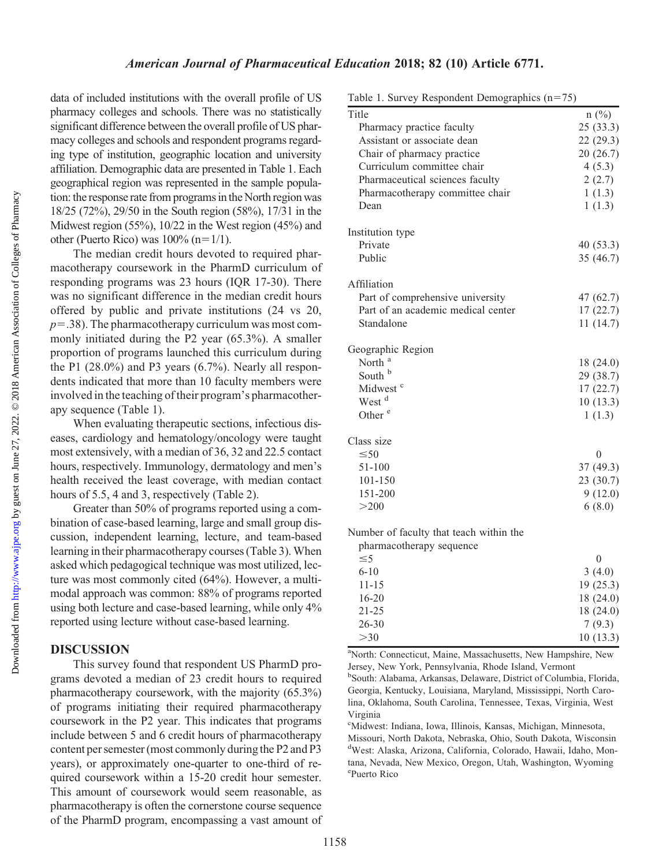#### American Journal of Pharmaceutical Education 2018; 82 (10) Article 6771.

data of included institutions with the overall profile of US pharmacy colleges and schools. There was no statistically significant difference between the overall profile of US pharmacy colleges and schools and respondent programs regarding type of institution, geographic location and university affiliation. Demographic data are presented in Table 1. Each geographical region was represented in the sample population: the response rate from programs in the North region was 18/25 (72%), 29/50 in the South region (58%), 17/31 in the Midwest region (55%), 10/22 in the West region (45%) and other (Puerto Rico) was  $100\%$  (n=1/1).

The median credit hours devoted to required pharmacotherapy coursework in the PharmD curriculum of responding programs was 23 hours (IQR 17-30). There was no significant difference in the median credit hours offered by public and private institutions (24 vs 20,  $p=38$ ). The pharmacotherapy curriculum was most commonly initiated during the P2 year (65.3%). A smaller proportion of programs launched this curriculum during the P1  $(28.0\%)$  and P3 years  $(6.7\%)$ . Nearly all respondents indicated that more than 10 faculty members were involved in the teaching of their program's pharmacotherapy sequence (Table 1).

When evaluating therapeutic sections, infectious diseases, cardiology and hematology/oncology were taught most extensively, with a median of 36, 32 and 22.5 contact hours, respectively. Immunology, dermatology and men's health received the least coverage, with median contact hours of 5.5, 4 and 3, respectively (Table 2).

Greater than 50% of programs reported using a combination of case-based learning, large and small group discussion, independent learning, lecture, and team-based learning in their pharmacotherapy courses (Table 3). When asked which pedagogical technique was most utilized, lecture was most commonly cited (64%). However, a multimodal approach was common: 88% of programs reported using both lecture and case-based learning, while only 4% reported using lecture without case-based learning.

#### DISCUSSION

This survey found that respondent US PharmD programs devoted a median of 23 credit hours to required pharmacotherapy coursework, with the majority (65.3%) of programs initiating their required pharmacotherapy coursework in the P2 year. This indicates that programs include between 5 and 6 credit hours of pharmacotherapy content per semester (most commonly during the P2 and P3 years), or approximately one-quarter to one-third of required coursework within a 15-20 credit hour semester. This amount of coursework would seem reasonable, as pharmacotherapy is often the cornerstone course sequence of the PharmD program, encompassing a vast amount of

Table 1. Survey Respondent Demographics  $(n=75)$ 

| Title                                                               | $n$ (%)   |
|---------------------------------------------------------------------|-----------|
| Pharmacy practice faculty                                           | 25(33.3)  |
| Assistant or associate dean                                         | 22 (29.3) |
| Chair of pharmacy practice                                          | 20 (26.7) |
| Curriculum committee chair                                          | 4(5.3)    |
| Pharmaceutical sciences faculty                                     | 2(2.7)    |
| Pharmacotherapy committee chair                                     | 1(1.3)    |
| Dean                                                                | 1(1.3)    |
| Institution type                                                    |           |
| Private                                                             | 40(53.3)  |
| Public                                                              | 35(46.7)  |
| Affiliation                                                         |           |
| Part of comprehensive university                                    | 47 (62.7) |
| Part of an academic medical center                                  | 17(22.7)  |
| Standalone                                                          | 11(14.7)  |
| Geographic Region                                                   |           |
| North <sup>a</sup>                                                  | 18(24.0)  |
| South b                                                             | 29(38.7)  |
| Midwest <sup>c</sup>                                                | 17(22.7)  |
| West <sup>d</sup>                                                   | 10(13.3)  |
| Other <sup>e</sup>                                                  | 1(1.3)    |
| Class size                                                          |           |
| $\leq 50$                                                           | $\theta$  |
| 51-100                                                              | 37(49.3)  |
| 101-150                                                             | 23(30.7)  |
| 151-200                                                             | 9(12.0)   |
| >200                                                                | 6(8.0)    |
| Number of faculty that teach within the<br>nharmacatherany sequence |           |

| pharmacotherapy sequence |              |
|--------------------------|--------------|
| $\leq 5$                 | $\mathbf{0}$ |
| $6-10$                   | 3(4.0)       |
| $11 - 15$                | 19(25.3)     |
| $16 - 20$                | 18(24.0)     |
| $21 - 25$                | 18(24.0)     |
| 26-30                    | 7(9.3)       |
| >30                      | 10(13.3)     |

aNorth: Connecticut, Maine, Massachusetts, New Hampshire, New Jersey, New York, Pennsylvania, Rhode Island, Vermont b South: Alabama, Arkansas, Delaware, District of Columbia, Florida, Georgia, Kentucky, Louisiana, Maryland, Mississippi, North Carolina, Oklahoma, South Carolina, Tennessee, Texas, Virginia, West

c Midwest: Indiana, Iowa, Illinois, Kansas, Michigan, Minnesota, Missouri, North Dakota, Nebraska, Ohio, South Dakota, Wisconsin d West: Alaska, Arizona, California, Colorado, Hawaii, Idaho, Montana, Nevada, New Mexico, Oregon, Utah, Washington, Wyoming e Puerto Rico

Virginia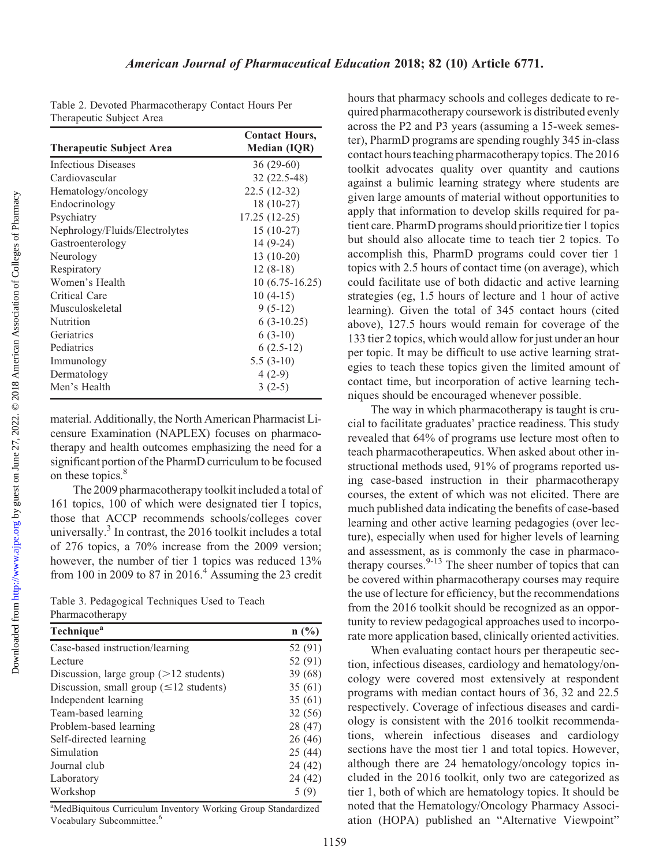Table 2. Devoted Pharmacotherapy Contact Hours Per Therapeutic Subject Area

|                                 | <b>Contact Hours,</b> |
|---------------------------------|-----------------------|
| <b>Therapeutic Subject Area</b> | <b>Median (IQR)</b>   |
| Infectious Diseases             | $36(29-60)$           |
| Cardiovascular                  | $32(22.5-48)$         |
| Hematology/oncology             | 22.5 (12-32)          |
| Endocrinology                   | 18 (10-27)            |
| Psychiatry                      | 17.25 (12-25)         |
| Nephrology/Fluids/Electrolytes  | $15(10-27)$           |
| Gastroenterology                | $14(9-24)$            |
| Neurology                       | $13(10-20)$           |
| Respiratory                     | $12(8-18)$            |
| Women's Health                  | $10(6.75 - 16.25)$    |
| Critical Care                   | $10(4-15)$            |
| Musculoskeletal                 | $9(5-12)$             |
| Nutrition                       | $6(3-10.25)$          |
| Geriatrics                      | $6(3-10)$             |
| Pediatrics                      | $6(2.5-12)$           |
| Immunology                      | $5.5(3-10)$           |
| Dermatology                     | $4(2-9)$              |
| Men's Health                    | $3(2-5)$              |

material. Additionally, the North American Pharmacist Licensure Examination (NAPLEX) focuses on pharmacotherapy and health outcomes emphasizing the need for a significant portion of the PharmD curriculum to be focused on these topics.<sup>8</sup>

The 2009 pharmacotherapy toolkit included a total of 161 topics, 100 of which were designated tier I topics, those that ACCP recommends schools/colleges cover universally.3 In contrast, the 2016 toolkit includes a total of 276 topics, a 70% increase from the 2009 version; however, the number of tier 1 topics was reduced 13% from 100 in 2009 to 87 in 2016.<sup>4</sup> Assuming the 23 credit

Table 3. Pedagogical Techniques Used to Teach Pharmacotherapy

| Technique <sup>a</sup>                       | $n(^{0}/_{0})$ |
|----------------------------------------------|----------------|
| Case-based instruction/learning              | 52 (91)        |
| Lecture                                      | 52 (91)        |
| Discussion, large group $(>12$ students)     | 39(68)         |
| Discussion, small group $(\leq 12$ students) | 35(61)         |
| Independent learning                         | 35(61)         |
| Team-based learning                          | 32(56)         |
| Problem-based learning                       | 28 (47)        |
| Self-directed learning                       | 26(46)         |
| Simulation                                   | 25 (44)        |
| Journal club                                 | 24 (42)        |
| Laboratory                                   | 24 (42)        |
| Workshop                                     | 5 (9)          |

<sup>a</sup>MedBiquitous Curriculum Inventory Working Group Standardized Vocabulary Subcommittee.<sup>6</sup>

hours that pharmacy schools and colleges dedicate to required pharmacotherapy coursework is distributed evenly across the P2 and P3 years (assuming a 15-week semester), PharmD programs are spending roughly 345 in-class contact hours teaching pharmacotherapy topics. The 2016 toolkit advocates quality over quantity and cautions against a bulimic learning strategy where students are given large amounts of material without opportunities to apply that information to develop skills required for patient care. PharmD programs should prioritize tier 1 topics but should also allocate time to teach tier 2 topics. To accomplish this, PharmD programs could cover tier 1 topics with 2.5 hours of contact time (on average), which could facilitate use of both didactic and active learning strategies (eg, 1.5 hours of lecture and 1 hour of active learning). Given the total of 345 contact hours (cited above), 127.5 hours would remain for coverage of the 133 tier 2 topics, which would allow for just under an hour per topic. It may be difficult to use active learning strategies to teach these topics given the limited amount of contact time, but incorporation of active learning techniques should be encouraged whenever possible.

The way in which pharmacotherapy is taught is crucial to facilitate graduates' practice readiness. This study revealed that 64% of programs use lecture most often to teach pharmacotherapeutics. When asked about other instructional methods used, 91% of programs reported using case-based instruction in their pharmacotherapy courses, the extent of which was not elicited. There are much published data indicating the benefits of case-based learning and other active learning pedagogies (over lecture), especially when used for higher levels of learning and assessment, as is commonly the case in pharmacotherapy courses.<sup>9-13</sup> The sheer number of topics that can be covered within pharmacotherapy courses may require the use of lecture for efficiency, but the recommendations from the 2016 toolkit should be recognized as an opportunity to review pedagogical approaches used to incorporate more application based, clinically oriented activities.

When evaluating contact hours per therapeutic section, infectious diseases, cardiology and hematology/oncology were covered most extensively at respondent programs with median contact hours of 36, 32 and 22.5 respectively. Coverage of infectious diseases and cardiology is consistent with the 2016 toolkit recommendations, wherein infectious diseases and cardiology sections have the most tier 1 and total topics. However, although there are 24 hematology/oncology topics included in the 2016 toolkit, only two are categorized as tier 1, both of which are hematology topics. It should be noted that the Hematology/Oncology Pharmacy Association (HOPA) published an "Alternative Viewpoint"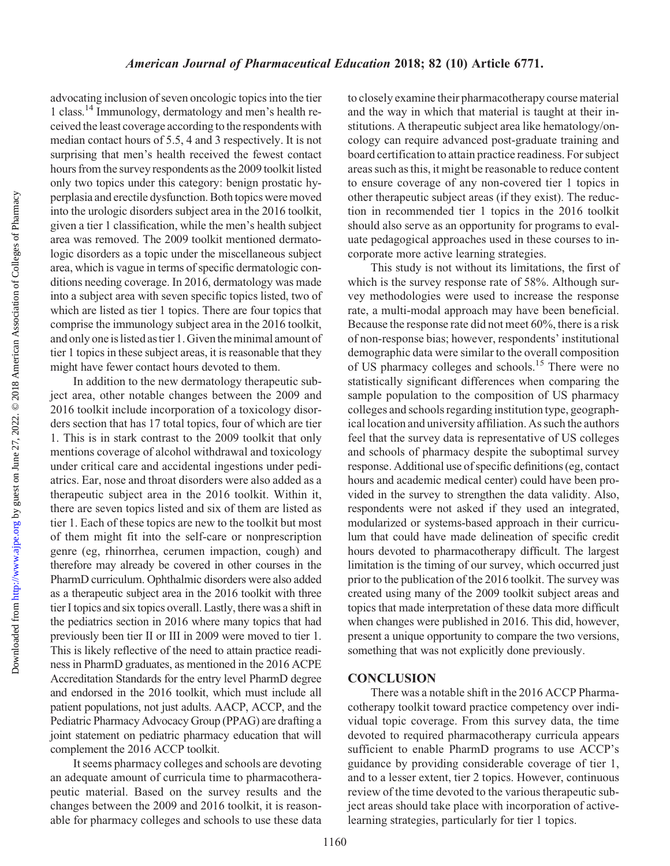advocating inclusion of seven oncologic topics into the tier 1 class.14 Immunology, dermatology and men's health received the least coverage according to the respondents with median contact hours of 5.5, 4 and 3 respectively. It is not surprising that men's health received the fewest contact hours from the survey respondents as the 2009 toolkit listed only two topics under this category: benign prostatic hyperplasia and erectile dysfunction. Both topics were moved into the urologic disorders subject area in the 2016 toolkit, given a tier 1 classification, while the men's health subject area was removed. The 2009 toolkit mentioned dermatologic disorders as a topic under the miscellaneous subject area, which is vague in terms of specific dermatologic conditions needing coverage. In 2016, dermatology was made into a subject area with seven specific topics listed, two of which are listed as tier 1 topics. There are four topics that comprise the immunology subject area in the 2016 toolkit, and only one is listed as tier 1. Given the minimal amount of tier 1 topics in these subject areas, it is reasonable that they might have fewer contact hours devoted to them.

In addition to the new dermatology therapeutic subject area, other notable changes between the 2009 and 2016 toolkit include incorporation of a toxicology disorders section that has 17 total topics, four of which are tier 1. This is in stark contrast to the 2009 toolkit that only mentions coverage of alcohol withdrawal and toxicology under critical care and accidental ingestions under pediatrics. Ear, nose and throat disorders were also added as a therapeutic subject area in the 2016 toolkit. Within it, there are seven topics listed and six of them are listed as tier 1. Each of these topics are new to the toolkit but most of them might fit into the self-care or nonprescription genre (eg, rhinorrhea, cerumen impaction, cough) and therefore may already be covered in other courses in the PharmD curriculum. Ophthalmic disorders were also added as a therapeutic subject area in the 2016 toolkit with three tier I topics and six topics overall. Lastly, there was a shift in the pediatrics section in 2016 where many topics that had previously been tier II or III in 2009 were moved to tier 1. This is likely reflective of the need to attain practice readiness in PharmD graduates, as mentioned in the 2016 ACPE Accreditation Standards for the entry level PharmD degree and endorsed in the 2016 toolkit, which must include all patient populations, not just adults. AACP, ACCP, and the Pediatric Pharmacy Advocacy Group (PPAG) are drafting a joint statement on pediatric pharmacy education that will complement the 2016 ACCP toolkit.

It seems pharmacy colleges and schools are devoting an adequate amount of curricula time to pharmacotherapeutic material. Based on the survey results and the changes between the 2009 and 2016 toolkit, it is reasonable for pharmacy colleges and schools to use these data to closely examine their pharmacotherapy course material and the way in which that material is taught at their institutions. A therapeutic subject area like hematology/oncology can require advanced post-graduate training and board certification to attain practice readiness. For subject areas such as this, it might be reasonable to reduce content to ensure coverage of any non-covered tier 1 topics in other therapeutic subject areas (if they exist). The reduction in recommended tier 1 topics in the 2016 toolkit should also serve as an opportunity for programs to evaluate pedagogical approaches used in these courses to incorporate more active learning strategies.

This study is not without its limitations, the first of which is the survey response rate of 58%. Although survey methodologies were used to increase the response rate, a multi-modal approach may have been beneficial. Because the response rate did not meet 60%, there is a risk of non-response bias; however, respondents' institutional demographic data were similar to the overall composition of US pharmacy colleges and schools.15 There were no statistically significant differences when comparing the sample population to the composition of US pharmacy colleges and schools regarding institution type, geographical location and university affiliation. As such the authors feel that the survey data is representative of US colleges and schools of pharmacy despite the suboptimal survey response. Additional use of specific definitions (eg, contact hours and academic medical center) could have been provided in the survey to strengthen the data validity. Also, respondents were not asked if they used an integrated, modularized or systems-based approach in their curriculum that could have made delineation of specific credit hours devoted to pharmacotherapy difficult. The largest limitation is the timing of our survey, which occurred just prior to the publication of the 2016 toolkit. The survey was created using many of the 2009 toolkit subject areas and topics that made interpretation of these data more difficult when changes were published in 2016. This did, however, present a unique opportunity to compare the two versions, something that was not explicitly done previously.

#### **CONCLUSION**

There was a notable shift in the 2016 ACCP Pharmacotherapy toolkit toward practice competency over individual topic coverage. From this survey data, the time devoted to required pharmacotherapy curricula appears sufficient to enable PharmD programs to use ACCP's guidance by providing considerable coverage of tier 1, and to a lesser extent, tier 2 topics. However, continuous review of the time devoted to the various therapeutic subject areas should take place with incorporation of activelearning strategies, particularly for tier 1 topics.